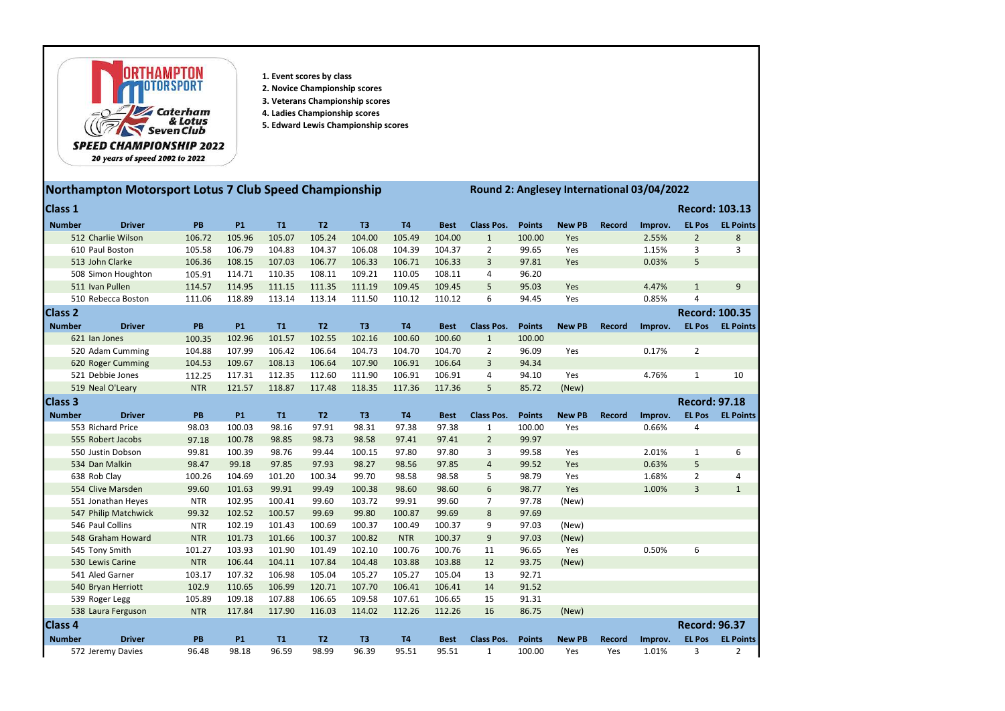

- 1. Event scores by class
- 2. Novice Championship scores
- 3. Veterans Championship scores
- 4. Ladies Championship scores
- 5. Edward Lewis Championship scores

## 20 years of speed 2002 to 2022

## Northampton Motorsport Lotus 7 Club Speed Championship Round 2: Anglesey International 03/04/2022

| Class 1         |                      |            |           |        |                |                |            |             |                   |               |               |               |         |                      | <b>Record: 103.13</b> |
|-----------------|----------------------|------------|-----------|--------|----------------|----------------|------------|-------------|-------------------|---------------|---------------|---------------|---------|----------------------|-----------------------|
| <b>Number</b>   | <b>Driver</b>        | PB         | <b>P1</b> | T1     | T <sub>2</sub> | T <sub>3</sub> | <b>T4</b>  | <b>Best</b> | <b>Class Pos.</b> | <b>Points</b> | <b>New PB</b> | Record        | Improv. | <b>EL Pos</b>        | <b>EL Points</b>      |
|                 | 512 Charlie Wilson   | 106.72     | 105.96    | 105.07 | 105.24         | 104.00         | 105.49     | 104.00      | $\mathbf{1}$      | 100.00        | Yes           |               | 2.55%   | $\overline{2}$       | 8                     |
| 610 Paul Boston |                      | 105.58     | 106.79    | 104.83 | 104.37         | 106.08         | 104.39     | 104.37      | $\overline{2}$    | 99.65         | Yes           |               | 1.15%   | 3                    | 3                     |
| 513 John Clarke |                      | 106.36     | 108.15    | 107.03 | 106.77         | 106.33         | 106.71     | 106.33      | 3                 | 97.81         | Yes           |               | 0.03%   | 5                    |                       |
|                 | 508 Simon Houghton   | 105.91     | 114.71    | 110.35 | 108.11         | 109.21         | 110.05     | 108.11      | 4                 | 96.20         |               |               |         |                      |                       |
|                 | 511 Ivan Pullen      | 114.57     | 114.95    | 111.15 | 111.35         | 111.19         | 109.45     | 109.45      | 5                 | 95.03         | Yes           |               | 4.47%   | $\mathbf{1}$         | 9                     |
|                 | 510 Rebecca Boston   | 111.06     | 118.89    | 113.14 | 113.14         | 111.50         | 110.12     | 110.12      | 6                 | 94.45         | Yes           |               | 0.85%   | 4                    |                       |
| Class 2         |                      |            |           |        |                |                |            |             |                   |               |               |               |         |                      | <b>Record: 100.35</b> |
| <b>Number</b>   | <b>Driver</b>        | PB         | <b>P1</b> | T1     | T2             | T <sub>3</sub> | T4         | <b>Best</b> | <b>Class Pos.</b> | <b>Points</b> | <b>New PB</b> | <b>Record</b> | Improv. | <b>EL Pos</b>        | <b>EL Points</b>      |
|                 | 621 Ian Jones        | 100.35     | 102.96    | 101.57 | 102.55         | 102.16         | 100.60     | 100.60      | $\mathbf{1}$      | 100.00        |               |               |         |                      |                       |
|                 | 520 Adam Cumming     | 104.88     | 107.99    | 106.42 | 106.64         | 104.73         | 104.70     | 104.70      | $\overline{2}$    | 96.09         | Yes           |               | 0.17%   | $\overline{2}$       |                       |
|                 | 620 Roger Cumming    | 104.53     | 109.67    | 108.13 | 106.64         | 107.90         | 106.91     | 106.64      | 3                 | 94.34         |               |               |         |                      |                       |
|                 | 521 Debbie Jones     | 112.25     | 117.31    | 112.35 | 112.60         | 111.90         | 106.91     | 106.91      | 4                 | 94.10         | Yes           |               | 4.76%   | $\mathbf{1}$         | 10                    |
|                 | 519 Neal O'Leary     | <b>NTR</b> | 121.57    | 118.87 | 117.48         | 118.35         | 117.36     | 117.36      | 5                 | 85.72         | (New)         |               |         |                      |                       |
| <b>Class 3</b>  |                      |            |           |        |                |                |            |             |                   |               |               |               |         | <b>Record: 97.18</b> |                       |
| <b>Number</b>   | <b>Driver</b>        | PB         | <b>P1</b> | T1     | T <sub>2</sub> | T <sub>3</sub> | <b>T4</b>  | <b>Best</b> | <b>Class Pos.</b> | <b>Points</b> | <b>New PB</b> | Record        | Improv. | <b>EL Pos</b>        | <b>EL Points</b>      |
|                 | 553 Richard Price    | 98.03      | 100.03    | 98.16  | 97.91          | 98.31          | 97.38      | 97.38       | $\mathbf{1}$      | 100.00        | Yes           |               | 0.66%   | 4                    |                       |
|                 | 555 Robert Jacobs    | 97.18      | 100.78    | 98.85  | 98.73          | 98.58          | 97.41      | 97.41       | $\overline{2}$    | 99.97         |               |               |         |                      |                       |
|                 | 550 Justin Dobson    | 99.81      | 100.39    | 98.76  | 99.44          | 100.15         | 97.80      | 97.80       | 3                 | 99.58         | Yes           |               | 2.01%   | $\mathbf{1}$         | 6                     |
|                 | 534 Dan Malkin       | 98.47      | 99.18     | 97.85  | 97.93          | 98.27          | 98.56      | 97.85       | $\overline{4}$    | 99.52         | Yes           |               | 0.63%   | 5                    |                       |
|                 | 638 Rob Clay         | 100.26     | 104.69    | 101.20 | 100.34         | 99.70          | 98.58      | 98.58       | 5                 | 98.79         | Yes           |               | 1.68%   | $\overline{2}$       | 4                     |
|                 | 554 Clive Marsden    | 99.60      | 101.63    | 99.91  | 99.49          | 100.38         | 98.60      | 98.60       | 6                 | 98.77         | Yes           |               | 1.00%   | 3                    | $\mathbf{1}$          |
|                 | 551 Jonathan Heyes   | <b>NTR</b> | 102.95    | 100.41 | 99.60          | 103.72         | 99.91      | 99.60       | $\overline{7}$    | 97.78         | (New)         |               |         |                      |                       |
|                 | 547 Philip Matchwick | 99.32      | 102.52    | 100.57 | 99.69          | 99.80          | 100.87     | 99.69       | 8                 | 97.69         |               |               |         |                      |                       |
|                 | 546 Paul Collins     | <b>NTR</b> | 102.19    | 101.43 | 100.69         | 100.37         | 100.49     | 100.37      | 9                 | 97.03         | (New)         |               |         |                      |                       |
|                 | 548 Graham Howard    | <b>NTR</b> | 101.73    | 101.66 | 100.37         | 100.82         | <b>NTR</b> | 100.37      | 9                 | 97.03         | (New)         |               |         |                      |                       |
|                 | 545 Tony Smith       | 101.27     | 103.93    | 101.90 | 101.49         | 102.10         | 100.76     | 100.76      | 11                | 96.65         | Yes           |               | 0.50%   | 6                    |                       |
|                 | 530 Lewis Carine     | <b>NTR</b> | 106.44    | 104.11 | 107.84         | 104.48         | 103.88     | 103.88      | 12                | 93.75         | (New)         |               |         |                      |                       |
|                 | 541 Aled Garner      | 103.17     | 107.32    | 106.98 | 105.04         | 105.27         | 105.27     | 105.04      | 13                | 92.71         |               |               |         |                      |                       |
|                 | 540 Bryan Herriott   | 102.9      | 110.65    | 106.99 | 120.71         | 107.70         | 106.41     | 106.41      | 14                | 91.52         |               |               |         |                      |                       |
|                 | 539 Roger Legg       | 105.89     | 109.18    | 107.88 | 106.65         | 109.58         | 107.61     | 106.65      | 15                | 91.31         |               |               |         |                      |                       |
|                 | 538 Laura Ferguson   | <b>NTR</b> | 117.84    | 117.90 | 116.03         | 114.02         | 112.26     | 112.26      | 16                | 86.75         | (New)         |               |         |                      |                       |
| Class 4         |                      |            |           |        |                |                |            |             |                   |               |               |               |         | <b>Record: 96.37</b> |                       |
| <b>Number</b>   | <b>Driver</b>        | PB         | <b>P1</b> | T1     | T <sub>2</sub> | T3             | T4         | <b>Best</b> | <b>Class Pos.</b> | <b>Points</b> | <b>New PB</b> | <b>Record</b> | Improv. | <b>EL Pos</b>        | <b>EL Points</b>      |
|                 | 572 Jeremy Davies    | 96.48      | 98.18     | 96.59  | 98.99          | 96.39          | 95.51      | 95.51       | $\mathbf{1}$      | 100.00        | Yes           | Yes           | 1.01%   | 3                    | $\overline{2}$        |